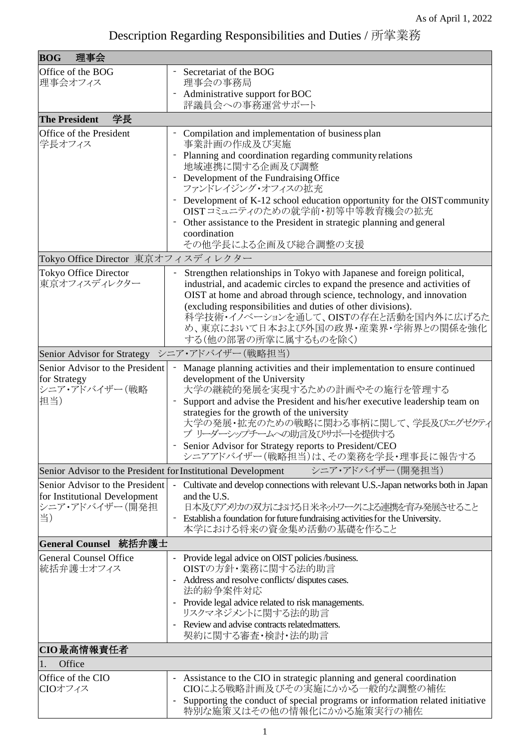| 理事会<br><b>BOG</b>                                             |                                                                                                                                                                                                                                                                                                                                                                                                |  |
|---------------------------------------------------------------|------------------------------------------------------------------------------------------------------------------------------------------------------------------------------------------------------------------------------------------------------------------------------------------------------------------------------------------------------------------------------------------------|--|
| Office of the BOG<br>理事会オフィス                                  | Secretariat of the BOG<br>理事会の事務局                                                                                                                                                                                                                                                                                                                                                              |  |
|                                                               | Administrative support for BOC                                                                                                                                                                                                                                                                                                                                                                 |  |
|                                                               | 評議員会への事務運営サポート                                                                                                                                                                                                                                                                                                                                                                                 |  |
| 学長<br><b>The President</b>                                    |                                                                                                                                                                                                                                                                                                                                                                                                |  |
| Office of the President<br>学長オフィス                             | Compilation and implementation of business plan<br>事業計画の作成及び実施                                                                                                                                                                                                                                                                                                                                 |  |
|                                                               | Planning and coordination regarding community relations<br>地域連携に関する企画及び調整                                                                                                                                                                                                                                                                                                                      |  |
|                                                               | Development of the Fundraising Office                                                                                                                                                                                                                                                                                                                                                          |  |
|                                                               | ファンドレイジング・オフィスの拡充<br>Development of K-12 school education opportunity for the OIST community                                                                                                                                                                                                                                                                                                   |  |
|                                                               | OISTコミュニティのための就学前・初等中等教育機会の拡充<br>Other assistance to the President in strategic planning and general                                                                                                                                                                                                                                                                                           |  |
|                                                               | coordination                                                                                                                                                                                                                                                                                                                                                                                   |  |
|                                                               | その他学長による企画及び総合調整の支援                                                                                                                                                                                                                                                                                                                                                                            |  |
| Tokyo Office Director 東京オフィスディレクター                            |                                                                                                                                                                                                                                                                                                                                                                                                |  |
| Tokyo Office Director<br>東京オフィスディレクター                         | Strengthen relationships in Tokyo with Japanese and foreign political,<br>industrial, and academic circles to expand the presence and activities of<br>OIST at home and abroad through science, technology, and innovation<br>(excluding responsibilities and duties of other divisions).<br>科学技術・イノベーションを通して、OISTの存在と活動を国内外に広げるた<br>め、東京において日本および外国の政界・産業界・学術界との関係を強化<br>する(他の部署の所掌に属するものを除く) |  |
| Senior Advisor for Strategy                                   | シニア・アドバイザー(戦略担当)                                                                                                                                                                                                                                                                                                                                                                               |  |
| Senior Advisor to the President                               | Manage planning activities and their implementation to ensure continued                                                                                                                                                                                                                                                                                                                        |  |
| for Strategy<br>シニア・アドバイザー(戦略                                 | development of the University<br>大学の継続的発展を実現するための計画やその施行を管理する                                                                                                                                                                                                                                                                                                                                  |  |
| 担当)                                                           | Support and advise the President and his/her executive leadership team on<br>$\overline{a}$                                                                                                                                                                                                                                                                                                    |  |
|                                                               | strategies for the growth of the university<br>大学の発展・拡充のための戦略に関わる事柄に関して、学長及びエグゼクティ<br>ブリーダーシップチームへの助言及びサポートを提供する                                                                                                                                                                                                                                                                               |  |
|                                                               | Senior Advisor for Strategy reports to President/CEO<br>シニアアドバイザー(戦略担当)は、その業務を学長・理事長に報告する                                                                                                                                                                                                                                                                                                      |  |
| Senior Advisor to the President for Institutional Development | シニア・アドバイザー(開発担当)                                                                                                                                                                                                                                                                                                                                                                               |  |
| Senior Advisor to the President                               | Cultivate and develop connections with relevant U.S.-Japan networks both in Japan                                                                                                                                                                                                                                                                                                              |  |
| for Institutional Development<br>シニア・アドバイザー(開発担               | and the U.S.<br>日本及びアメリカの双方における日米ネットワークによる連携を育み発展させること                                                                                                                                                                                                                                                                                                                                         |  |
| 当)                                                            | Establish a foundation for future fundraising activities for the University.<br>本学における将来の資金集め活動の基礎を作ること                                                                                                                                                                                                                                                                                        |  |
| General Counsel 統括弁護士                                         |                                                                                                                                                                                                                                                                                                                                                                                                |  |
| <b>General Counsel Office</b><br>統括弁護士オフィス                    | - Provide legal advice on OIST policies /business.<br>OISTの方針·業務に関する法的助言                                                                                                                                                                                                                                                                                                                       |  |
|                                                               | Address and resolve conflicts/disputes cases.<br>法的紛争案件対応                                                                                                                                                                                                                                                                                                                                      |  |
|                                                               | Provide legal advice related to risk managements.                                                                                                                                                                                                                                                                                                                                              |  |
|                                                               | リスクマネジメントに関する法的助言<br>Review and advise contracts related matters.                                                                                                                                                                                                                                                                                                                              |  |
|                                                               | 契約に関する審査・検討・法的助言                                                                                                                                                                                                                                                                                                                                                                               |  |
| CIO最高情報責任者                                                    |                                                                                                                                                                                                                                                                                                                                                                                                |  |
| Office<br>1.                                                  |                                                                                                                                                                                                                                                                                                                                                                                                |  |
| Office of the CIO<br>CIOオフィス                                  | - Assistance to the CIO in strategic planning and general coordination<br>CIOによる戦略計画及びその実施にかかる一般的な調整の補佐                                                                                                                                                                                                                                                                                        |  |
|                                                               | Supporting the conduct of special programs or information related initiative<br>特別な施策又はその他の情報化にかかる施策実行の補佐                                                                                                                                                                                                                                                                                      |  |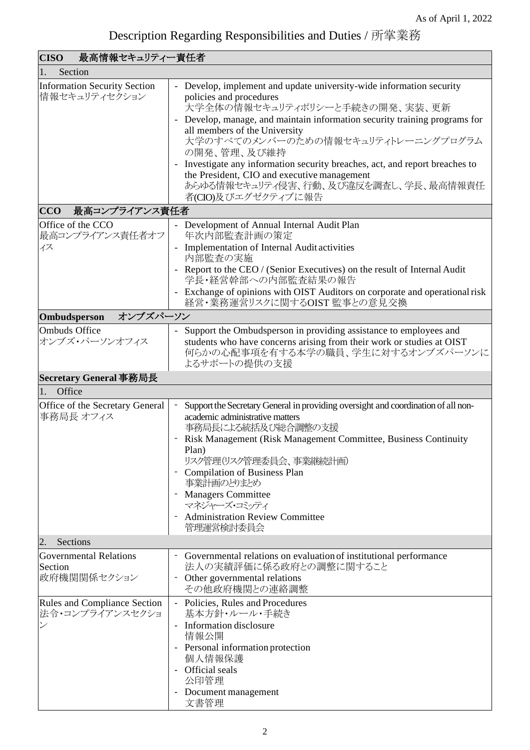| <b>CISO</b><br>最高情報セキュリティー責任者                           |                                                                                                                                                                                                                                                                                                                                                                                                                                                                                                |  |
|---------------------------------------------------------|------------------------------------------------------------------------------------------------------------------------------------------------------------------------------------------------------------------------------------------------------------------------------------------------------------------------------------------------------------------------------------------------------------------------------------------------------------------------------------------------|--|
| Section<br>1.                                           |                                                                                                                                                                                                                                                                                                                                                                                                                                                                                                |  |
| <b>Information Security Section</b><br>情報セキュリティセクション    | - Develop, implement and update university-wide information security<br>policies and procedures<br>大学全体の情報セキュリティポリシーと手続きの開発、実装、更新<br>Develop, manage, and maintain information security training programs for<br>all members of the University<br>大学のすべてのメンバーのための情報セキュリティトレーニングプログラム<br>の開発、管理、及び維持<br>Investigate any information security breaches, act, and report breaches to<br>the President, CIO and executive management<br>あらゆる情報セキュリティ侵害、行動、及び違反を調査し、学長、最高情報責任<br>者(CIO)及びエグゼクティブに報告 |  |
| 最高コンプライアンス責任者<br><b>CCO</b>                             |                                                                                                                                                                                                                                                                                                                                                                                                                                                                                                |  |
| Office of the CCO<br>最高コンプライアンス責任者オフ<br>イス              | - Development of Annual Internal Audit Plan<br>年次内部監査計画の策定<br>Implementation of Internal Audit activities<br>内部監査の実施<br>- Report to the CEO / (Senior Executives) on the result of Internal Audit<br>学長・経営幹部への内部監査結果の報告<br>- Exchange of opinions with OIST Auditors on corporate and operational risk<br>経営・業務運営リスクに関するOIST 監事との意見交換                                                                                                                                                          |  |
| オンブズパーソン<br>Ombudsperson                                |                                                                                                                                                                                                                                                                                                                                                                                                                                                                                                |  |
| Ombuds Office<br>オンブズ・パーソンオフィス                          | Support the Ombudsperson in providing assistance to employees and<br>students who have concerns arising from their work or studies at OIST<br>何らかの心配事項を有する本学の職員、学生に対するオンブズパーソンに<br>よるサポートの提供の支援                                                                                                                                                                                                                                                                                                |  |
| Secretary General 事務局長                                  |                                                                                                                                                                                                                                                                                                                                                                                                                                                                                                |  |
| Office<br>1.                                            |                                                                                                                                                                                                                                                                                                                                                                                                                                                                                                |  |
| Office of the Secretary General<br>事務局長 オフィス            | Support the Secretary General in providing oversight and coordination of all non-<br>academic administrative matters<br>事務局長による統括及び総合調整の支援<br>Risk Management (Risk Management Committee, Business Continuity<br>Plan)<br>リスク管理(リスク管理委員会、事業継続計画)<br><b>Compilation of Business Plan</b><br>事業計画のとりまとめ<br><b>Managers Committee</b><br>マネジャーズ・コミッティ<br><b>Administration Review Committee</b><br>管理運営検討委員会                                                                                      |  |
| Sections<br>2.                                          |                                                                                                                                                                                                                                                                                                                                                                                                                                                                                                |  |
| <b>Governmental Relations</b><br>Section<br>政府機関関係セクション | Governmental relations on evaluation of institutional performance<br>法人の実績評価に係る政府との調整に関すること<br>Other governmental relations<br>その他政府機関との連絡調整                                                                                                                                                                                                                                                                                                                                                   |  |
| <b>Rules and Compliance Section</b><br>法令・コンプライアンスセクショ  | - Policies, Rules and Procedures<br>基本方針・ルール・手続き<br>- Information disclosure<br>情報公開<br>- Personal information protection<br>個人情報保護<br>Official seals<br>公印管理<br>- Document management<br>文書管理                                                                                                                                                                                                                                                                                                 |  |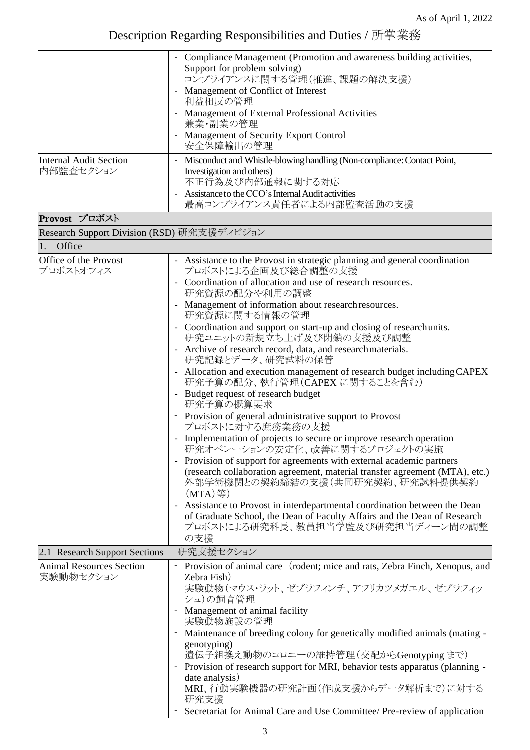|                                              | - Compliance Management (Promotion and awareness building activities,<br>Support for problem solving)                                                                                              |
|----------------------------------------------|----------------------------------------------------------------------------------------------------------------------------------------------------------------------------------------------------|
|                                              | コンプライアンスに関する管理(推進、課題の解決支援)<br>Management of Conflict of Interest                                                                                                                                   |
|                                              | 利益相反の管理<br>- Management of External Professional Activities                                                                                                                                        |
|                                              | 兼業・副業の管理<br>- Management of Security Export Control<br>安全保障輸出の管理                                                                                                                                   |
| <b>Internal Audit Section</b><br>内部監査セクション   | Misconduct and Whistle-blowing handling (Non-compliance: Contact Point,<br>Investigation and others)<br>不正行為及び内部通報に関する対応<br>Assistance to the CCO's Internal Audit activities                      |
|                                              | 最高コンプライアンス責任者による内部監査活動の支援                                                                                                                                                                          |
| Provost プロボスト                                |                                                                                                                                                                                                    |
| Research Support Division (RSD) 研究支援ディビジョン   |                                                                                                                                                                                                    |
| Office<br>$\overline{1}$ .                   |                                                                                                                                                                                                    |
| Office of the Provost<br>プロボストオフィス           | - Assistance to the Provost in strategic planning and general coordination<br>プロボストによる企画及び総合調整の支援                                                                                                  |
|                                              | Coordination of allocation and use of research resources.<br>研究資源の配分や利用の調整                                                                                                                         |
|                                              | Management of information about research resources.<br>研究資源に関する情報の管理                                                                                                                               |
|                                              | - Coordination and support on start-up and closing of researchunits.<br>研究ユニットの新規立ち上げ及び閉鎖の支援及び調整                                                                                                   |
|                                              | - Archive of research record, data, and research materials.<br>研究記録とデータ、研究試料の保管                                                                                                                    |
|                                              | - Allocation and execution management of research budget including CAPEX<br>研究予算の配分、執行管理(CAPEX に関することを含む)                                                                                          |
|                                              | - Budget request of research budget<br>研究予算の概算要求                                                                                                                                                   |
|                                              | - Provision of general administrative support to Provost<br>プロボストに対する庶務業務の支援                                                                                                                       |
|                                              | Implementation of projects to secure or improve research operation<br>研究オペレーションの安定化、改善に関するプロジェクトの実施                                                                                                |
|                                              | Provision of support for agreements with external academic partners<br>(research collaboration agreement, material transfer agreement (MTA), etc.)<br>外部学術機関との契約締結の支援(共同研究契約、研究試料提供契約<br>$(MTA)$ 等 |
|                                              | Assistance to Provost in interdepartmental coordination between the Dean<br>of Graduate School, the Dean of Faculty Affairs and the Dean of Research<br>プロボストによる研究科長、教員担当学監及び研究担当ディーン間の調整<br>の支援   |
| 2.1 Research Support Sections                | 研究支援セクション                                                                                                                                                                                          |
| <b>Animal Resources Section</b><br>実験動物セクション | Provision of animal care (rodent; mice and rats, Zebra Finch, Xenopus, and<br>Zebra Fish)<br>実験動物(マウス・ラット、ゼブラフィンチ、アフリカツメガエル、ゼブラフィッ<br>シュ)の飼育管理                                                     |
|                                              | Management of animal facility<br>実験動物施設の管理                                                                                                                                                         |
|                                              | Maintenance of breeding colony for genetically modified animals (mating -                                                                                                                          |
|                                              | genotyping)<br>遺伝子組換え動物のコロニーの維持管理(交配からGenotyping まで)                                                                                                                                               |
|                                              | Provision of research support for MRI, behavior tests apparatus (planning -                                                                                                                        |
|                                              | date analysis)<br>MRI、行動実験機器の研究計画(作成支援からデータ解析まで)に対する<br>研究支援                                                                                                                                       |
|                                              | Secretariat for Animal Care and Use Committee/ Pre-review of application                                                                                                                           |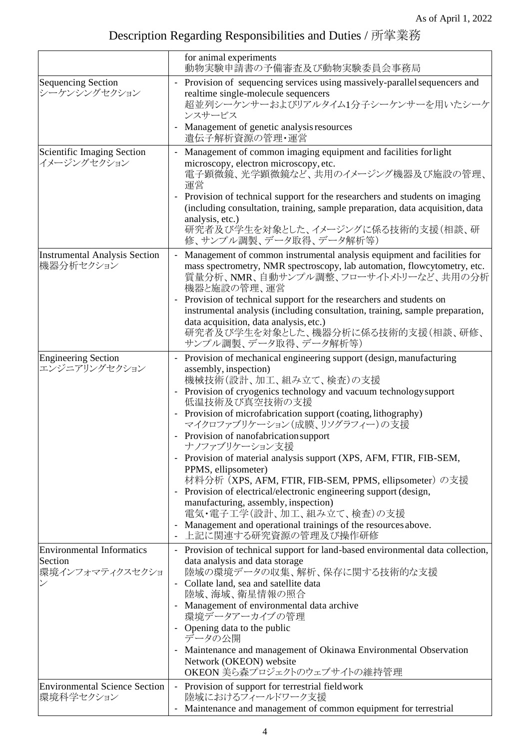|                                                                 | for animal experiments<br>動物実験申請書の予備審査及び動物実験委員会事務局                                                                                                                                                                                                                                                                                                                                                                                                                                                                                                                                                                                                                                                                                     |
|-----------------------------------------------------------------|----------------------------------------------------------------------------------------------------------------------------------------------------------------------------------------------------------------------------------------------------------------------------------------------------------------------------------------------------------------------------------------------------------------------------------------------------------------------------------------------------------------------------------------------------------------------------------------------------------------------------------------------------------------------------------------------------------------------------------------|
| <b>Sequencing Section</b><br>シーケンシングセクション                       | Provision of sequencing services using massively-parallel sequencers and<br>$\overline{\phantom{a}}$<br>realtime single-molecule sequencers<br>超並列シーケンサーおよびリアルタイム1分子シーケンサーを用いたシーケ<br>ンスサービス<br>Management of genetic analysis resources                                                                                                                                                                                                                                                                                                                                                                                                                                                                                                |
|                                                                 | 遺伝子解析資源の管理・運営                                                                                                                                                                                                                                                                                                                                                                                                                                                                                                                                                                                                                                                                                                                          |
| Scientific Imaging Section<br>イメージングセクション                       | Management of common imaging equipment and facilities for light<br>microscopy, electron microscopy, etc.<br>電子顕微鏡、光学顕微鏡など、共用のイメージング機器及び施設の管理、<br>運営<br>Provision of technical support for the researchers and students on imaging<br>(including consultation, training, sample preparation, data acquisition, data<br>analysis, etc.)<br>研究者及び学生を対象とした、イメージングに係る技術的支援(相談、研<br>修、サンプル調製、データ取得、データ解析等)                                                                                                                                                                                                                                                                                                                                   |
| <b>Instrumental Analysis Section</b><br>機器分析セクション               | Management of common instrumental analysis equipment and facilities for<br>mass spectrometry, NMR spectroscopy, lab automation, flowcytometry, etc.<br>質量分析、NMR、自動サンプル調整、フローサイトメトリーなど、共用の分析<br>機器と施設の管理、運営<br>Provision of technical support for the researchers and students on<br>instrumental analysis (including consultation, training, sample preparation,<br>data acquisition, data analysis, etc.)<br>研究者及び学生を対象とした、機器分析に係る技術的支援(相談、研修、<br>サンプル調製、データ取得、データ解析等)                                                                                                                                                                                                                                                                |
| <b>Engineering Section</b><br>エンジニアリングセクション                     | Provision of mechanical engineering support (design, manufacturing<br>assembly, inspection)<br>機械技術(設計、加工、組み立て、検査)の支援<br>Provision of cryogenics technology and vacuum technology support<br>低温技術及び真空技術の支援<br>Provision of microfabrication support (coating, lithography)<br>マイクロファブリケーション(成膜、リソグラフィー)の支援<br>- Provision of nanofabrication support<br>ナノファブリケーション支援<br>- Provision of material analysis support (XPS, AFM, FTIR, FIB-SEM,<br>PPMS, ellipsometer)<br>材料分析 (XPS, AFM, FTIR, FIB-SEM, PPMS, ellipsometer) の支援<br>- Provision of electrical/electronic engineering support (design,<br>manufacturing, assembly, inspection)<br>電気·電子工学(設計、加工、組み立て、検査)の支援<br>Management and operational trainings of the resources above. |
| <b>Environmental Informatics</b><br>Section<br> 環境インフォマティクスセクショ | 上記に関連する研究資源の管理及び操作研修<br>Provision of technical support for land-based environmental data collection,<br>data analysis and data storage<br>陸域の環境データの収集、解析、保存に関する技術的な支援<br>Collate land, sea and satellite data<br>陸域、海域、衛星情報の照合<br>- Management of environmental data archive<br>環境データアーカイブの管理<br>- Opening data to the public<br>データの公開<br>- Maintenance and management of Okinawa Environmental Observation<br>Network (OKEON) website<br>OKEON 美ら森プロジェクトのウェブサイトの維持管理                                                                                                                                                                                                                                                                 |
| <b>Environmental Science Section</b><br>環境科学セクション               | Provision of support for terrestrial field work<br>$\overline{\phantom{a}}$<br>陸域におけるフィールドワーク支援<br>Maintenance and management of common equipment for terrestrial                                                                                                                                                                                                                                                                                                                                                                                                                                                                                                                                                                      |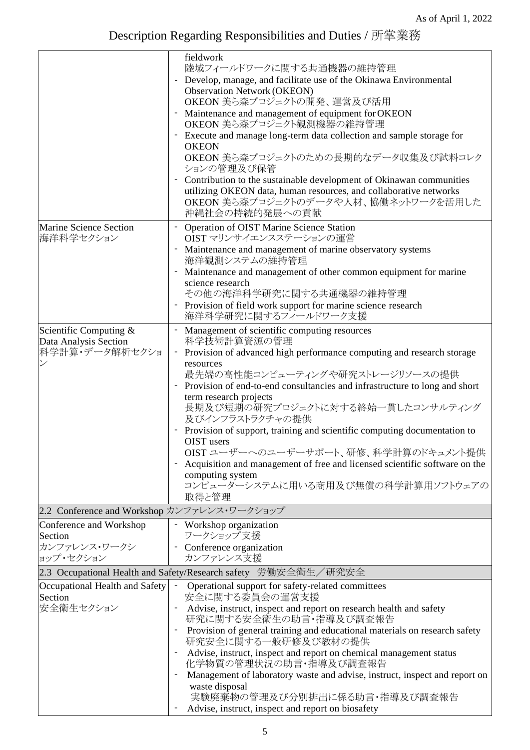|                                                 | fieldwork                                                                                                                   |
|-------------------------------------------------|-----------------------------------------------------------------------------------------------------------------------------|
|                                                 | 陸域フィールドワークに関する共通機器の維持管理<br>- Develop, manage, and facilitate use of the Okinawa Environmental                               |
|                                                 | <b>Observation Network (OKEON)</b>                                                                                          |
|                                                 | OKEON 美ら森プロジェクトの開発、運営及び活用                                                                                                   |
|                                                 | Maintenance and management of equipment for OKEON<br>OKEON 美ら森プロジェクト観測機器の維持管理                                               |
|                                                 | Execute and manage long-term data collection and sample storage for<br><b>OKEON</b>                                         |
|                                                 | OKEON 美ら森プロジェクトのための長期的なデータ収集及び試料コレク<br>ションの管理及び保管                                                                           |
|                                                 | Contribution to the sustainable development of Okinawan communities                                                         |
|                                                 | utilizing OKEON data, human resources, and collaborative networks<br>OKEON 美ら森プロジェクトのデータや人材、協働ネットワークを活用した<br>沖縄社会の持続的発展への貢献 |
| <b>Marine Science Section</b><br>海洋科学セクション      | Operation of OIST Marine Science Station<br>OIST マリンサイエンスステーションの運営                                                          |
|                                                 | Maintenance and management of marine observatory systems<br>海洋観測システムの維持管理                                                   |
|                                                 | Maintenance and management of other common equipment for marine<br>science research                                         |
|                                                 | その他の海洋科学研究に関する共通機器の維持管理                                                                                                     |
|                                                 | Provision of field work support for marine science research<br>海洋科学研究に関するフィールドワーク支援                                         |
| Scientific Computing &<br>Data Analysis Section | Management of scientific computing resources<br>$\overline{\phantom{a}}$<br>科学技術計算資源の管理                                     |
| 科学計算・データ解析セクショ                                  | - Provision of advanced high performance computing and research storage                                                     |
|                                                 | resources<br>最先端の高性能コンピューティングや研究ストレージリソースの提供                                                                                |
|                                                 | Provision of end-to-end consultancies and infrastructure to long and short                                                  |
|                                                 | term research projects<br>長期及び短期の研究プロジェクトに対する終始一貫したコンサルティング<br>及びインフラストラクチャの提供                                              |
|                                                 | Provision of support, training and scientific computing documentation to<br>OIST users                                      |
|                                                 | OIST ユーザーへのユーザーサポート、研修、科学計算のドキュメント提供                                                                                        |
|                                                 | Acquisition and management of free and licensed scientific software on the                                                  |
|                                                 | computing system<br>コンピューターシステムに用いる商用及び無償の科学計算用ソフトウェアの                                                                      |
|                                                 | 取得と管理                                                                                                                       |
| 2.2 Conference and Workshop カンファレンス・ワークショップ     |                                                                                                                             |
| Conference and Workshop<br>Section              | - Workshop organization<br>ワークショップ支援                                                                                        |
| カンファレンス・ワークシ                                    | - Conference organization                                                                                                   |
| ョップ・セクション                                       | カンファレンス支援                                                                                                                   |
|                                                 | 2.3 Occupational Health and Safety/Research safety 労働安全衛生/研究安全                                                              |
| Occupational Health and Safety<br>Section       | Operational support for safety-related committees<br>$\overline{\phantom{a}}$<br>安全に関する委員会の運営支援                             |
| 安全衛生セクション                                       | Advise, instruct, inspect and report on research health and safety<br>研究に関する安全衛生の助言・指導及び調査報告                                |
|                                                 | Provision of general training and educational materials on research safety<br>研究安全に関する一般研修及び教材の提供                           |
|                                                 | Advise, instruct, inspect and report on chemical management status<br>化学物質の管理状況の助言·指導及び調査報告                                 |
|                                                 | Management of laboratory waste and advise, instruct, inspect and report on                                                  |
|                                                 | waste disposal<br>実験廃棄物の管理及び分別排出に係る助言・指導及び調査報告                                                                              |
|                                                 | Advise, instruct, inspect and report on biosafety                                                                           |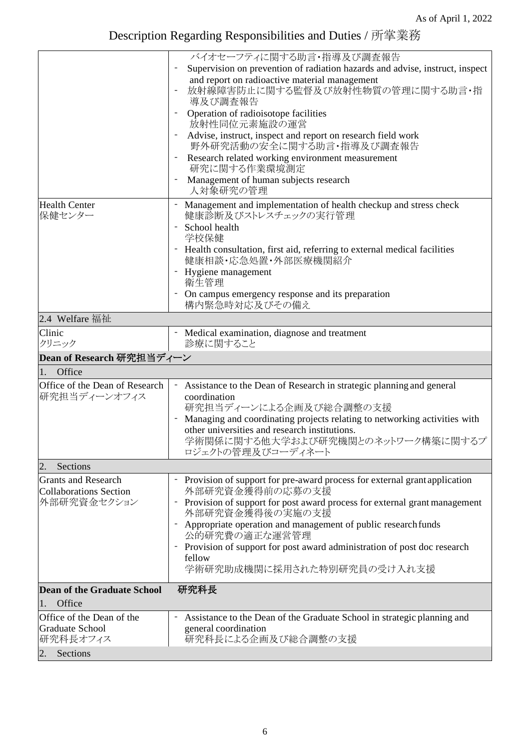|                                                             | バイオセーフティに関する助言・指導及び調査報告                                                                                                                                         |
|-------------------------------------------------------------|-----------------------------------------------------------------------------------------------------------------------------------------------------------------|
|                                                             | Supervision on prevention of radiation hazards and advise, instruct, inspect                                                                                    |
|                                                             | and report on radioactive material management<br>放射線障害防止に関する監督及び放射性物質の管理に関する助言・指<br>導及び調査報告                                                                     |
|                                                             | Operation of radioisotope facilities<br>放射性同位元素施設の運営                                                                                                            |
|                                                             | Advise, instruct, inspect and report on research field work<br>野外研究活動の安全に関する助言・指導及び調査報告                                                                         |
|                                                             | Research related working environment measurement<br>研究に関する作業環境測定                                                                                                |
|                                                             | Management of human subjects research<br>人対象研究の管理                                                                                                               |
| <b>Health Center</b><br>保健センター                              | Management and implementation of health checkup and stress check<br>健康診断及びストレスチェックの実行管理                                                                         |
|                                                             | School health<br>学校保健                                                                                                                                           |
|                                                             | Health consultation, first aid, referring to external medical facilities<br>健康相談·応急処置·外部医療機関紹介                                                                  |
|                                                             | Hygiene management<br>衛生管理                                                                                                                                      |
|                                                             | On campus emergency response and its preparation<br>構内緊急時対応及びその備え                                                                                               |
| 2.4 Welfare 福祉                                              |                                                                                                                                                                 |
| Clinic<br>クリニック                                             | - Medical examination, diagnose and treatment<br>診療に関すること                                                                                                       |
| Dean of Research 研究担当ディーン                                   |                                                                                                                                                                 |
| Office<br>1.                                                |                                                                                                                                                                 |
| Office of the Dean of Research<br>研究担当ディーンオフィス              | - Assistance to the Dean of Research in strategic planning and general<br>coordination<br>研究担当ディーンによる企画及び総合調整の支援                                                |
|                                                             | Managing and coordinating projects relating to networking activities with<br>other universities and research institutions.<br>学術関係に関する他大学および研究機関とのネットワーク構築に関するプ |
|                                                             | ロジェクトの管理及びコーディネート                                                                                                                                               |
| $\overline{2}$ .<br>Sections                                |                                                                                                                                                                 |
| <b>Grants and Research</b><br><b>Collaborations Section</b> | - Provision of support for pre-award process for external grant application<br>外部研究資金獲得前の応募の支援                                                                  |
| 外部研究資金セクション                                                 | - Provision of support for post award process for external grant management<br>外部研究資金獲得後の実施の支援                                                                  |
|                                                             | Appropriate operation and management of public research funds<br>公的研究費の適正な運営管理                                                                                  |
|                                                             | Provision of support for post award administration of post doc research                                                                                         |
|                                                             |                                                                                                                                                                 |
|                                                             | fellow<br>学術研究助成機関に採用された特別研究員の受け入れ支援                                                                                                                            |
| <b>Dean of the Graduate School</b>                          | 研究科長                                                                                                                                                            |
| Office<br>1.                                                |                                                                                                                                                                 |
| Office of the Dean of the                                   | Assistance to the Dean of the Graduate School in strategic planning and                                                                                         |
| Graduate School<br>研究科長オフィス                                 | general coordination<br>研究科長による企画及び総合調整の支援                                                                                                                      |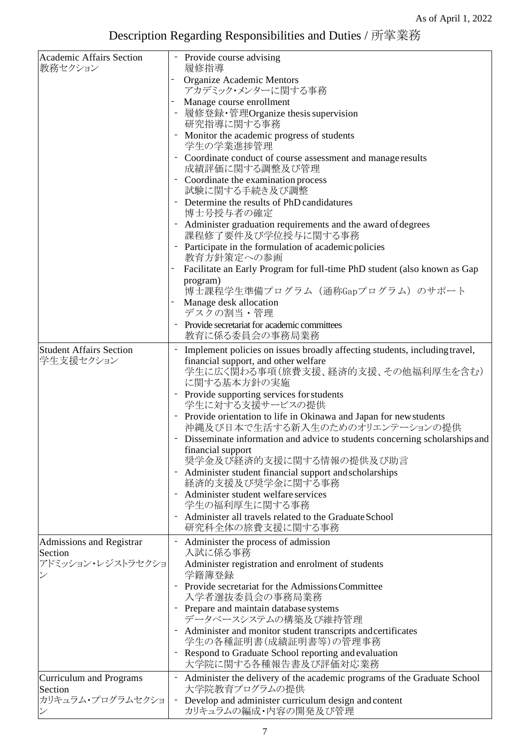| <b>Academic Affairs Section</b><br>教務セクション |                          | - Provide course advising<br>履修指導                                                                            |
|--------------------------------------------|--------------------------|--------------------------------------------------------------------------------------------------------------|
|                                            |                          | Organize Academic Mentors<br>アカデミック・メンターに関する事務                                                               |
|                                            |                          | Manage course enrollment                                                                                     |
|                                            |                          | 履修登録・管理Organize thesis supervision                                                                           |
|                                            |                          | 研究指導に関する事務                                                                                                   |
|                                            |                          | Monitor the academic progress of students<br>学生の学業進捗管理                                                       |
|                                            |                          | Coordinate conduct of course assessment and manage results<br>成績評価に関する調整及び管理                                 |
|                                            |                          | - Coordinate the examination process                                                                         |
|                                            |                          | 試験に関する手続き及び調整                                                                                                |
|                                            |                          | - Determine the results of PhD candidatures<br>博士号授与者の確定                                                     |
|                                            |                          | Administer graduation requirements and the award of degrees<br>課程修了要件及び学位授与に関する事務                            |
|                                            |                          | Participate in the formulation of academic policies<br>教育方針策定への参画                                            |
|                                            |                          | Facilitate an Early Program for full-time PhD student (also known as Gap                                     |
|                                            |                          | program)<br>博士課程学生準備プログラム (通称Gapプログラム) のサポート                                                                 |
|                                            |                          | Manage desk allocation<br>デスクの割当・管理                                                                          |
|                                            |                          | Provide secretariat for academic committees<br>教育に係る委員会の事務局業務                                                |
| <b>Student Affairs Section</b>             |                          | Implement policies on issues broadly affecting students, including travel,                                   |
| 学生支援セクション                                  |                          | financial support, and other welfare<br>学生に広く関わる事項(旅費支援、経済的支援、その他福利厚生を含む)<br>に関する基本方針の実施                     |
|                                            |                          | Provide supporting services for students                                                                     |
|                                            |                          | 学生に対する支援サービスの提供<br>Provide orientation to life in Okinawa and Japan for new students                         |
|                                            |                          | 沖縄及び日本で生活する新入生のためのオリエンテーションの提供<br>Disseminate information and advice to students concerning scholarships and |
|                                            |                          | financial support                                                                                            |
|                                            |                          | 奨学金及び経済的支援に関する情報の提供及び助言                                                                                      |
|                                            |                          | Administer student financial support and scholarships<br>経済的支援及び奨学金に関する事務                                    |
|                                            |                          | Administer student welfare services<br>学生の福利厚生に関する事務                                                         |
|                                            |                          | Administer all travels related to the Graduate School                                                        |
|                                            |                          | 研究科全体の旅費支援に関する事務                                                                                             |
| Admissions and Registrar<br>Section        |                          | Administer the process of admission<br>入試に係る事務                                                               |
| アドミッション・レジストラセクショ                          |                          | Administer registration and enrolment of students<br>学籍簿登録                                                   |
|                                            |                          | - Provide secretariat for the Admissions Committee<br>入学者選抜委員会の事務局業務                                         |
|                                            |                          | - Prepare and maintain database systems<br>データベースシステムの構築及び維持管理                                               |
|                                            |                          | - Administer and monitor student transcripts and certificates                                                |
|                                            |                          | 学生の各種証明書(成績証明書等)の管理事務                                                                                        |
|                                            |                          | Respond to Graduate School reporting and evaluation<br>大学院に関する各種報告書及び評価対応業務                                  |
| Curriculum and Programs<br>Section         | $\overline{\phantom{a}}$ | Administer the delivery of the academic programs of the Graduate School<br>大学院教育プログラムの提供                     |
| カリキュラム・プログラムセクショ                           |                          | - Develop and administer curriculum design and content                                                       |
|                                            |                          | カリキュラムの編成・内容の開発及び管理                                                                                          |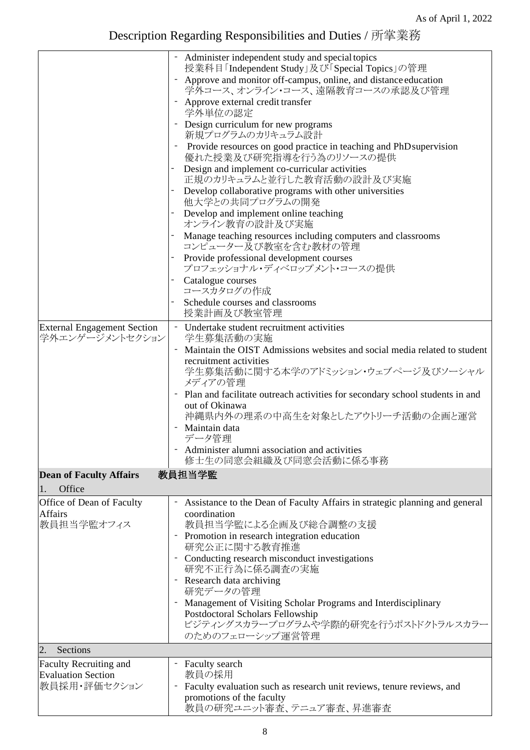| <b>External Engagement Section</b><br>学外エンゲージメントセクション                       | - Administer independent study and special topics<br>授業科目「Independent Study」及び「Special Topics」の管理<br>Approve and monitor off-campus, online, and distance education<br>学外コース、オンライン・コース、遠隔教育コースの承認及び管理<br>- Approve external credit transfer<br>学外単位の認定<br>- Design curriculum for new programs<br>新規プログラムのカリキュラム設計<br>Provide resources on good practice in teaching and PhD supervision<br>優れた授業及び研究指導を行う為のリソースの提供<br>Design and implement co-curricular activities<br>正規のカリキュラムと並行した教育活動の設計及び実施<br>Develop collaborative programs with other universities<br>他大学との共同プログラムの開発<br>Develop and implement online teaching<br>オンライン教育の設計及び実施<br>Manage teaching resources including computers and classrooms<br>コンピューター及び教室を含む教材の管理<br>Provide professional development courses<br>プロフェッショナル・ディベロップメント・コースの提供<br>Catalogue courses<br>コースカタログの作成<br>Schedule courses and classrooms<br>授業計画及び教室管理<br>- Undertake student recruitment activities<br>学生募集活動の実施<br>Maintain the OIST Admissions websites and social media related to student<br>recruitment activities<br>学生募集活動に関する本学のアドミッション・ウェブページ及びソーシャル<br>メディアの管理<br>Plan and facilitate outreach activities for secondary school students in and<br>out of Okinawa<br>沖縄県内外の理系の中高生を対象としたアウトリーチ活動の企画と運営<br>- Maintain data |
|-----------------------------------------------------------------------------|----------------------------------------------------------------------------------------------------------------------------------------------------------------------------------------------------------------------------------------------------------------------------------------------------------------------------------------------------------------------------------------------------------------------------------------------------------------------------------------------------------------------------------------------------------------------------------------------------------------------------------------------------------------------------------------------------------------------------------------------------------------------------------------------------------------------------------------------------------------------------------------------------------------------------------------------------------------------------------------------------------------------------------------------------------------------------------------------------------------------------------------------------------------------------------------------------------------------------------------------------------------------------|
|                                                                             | データ管理                                                                                                                                                                                                                                                                                                                                                                                                                                                                                                                                                                                                                                                                                                                                                                                                                                                                                                                                                                                                                                                                                                                                                                                                                                                                      |
|                                                                             | Administer alumni association and activities<br>修士生の同窓会組織及び同窓会活動に係る事務                                                                                                                                                                                                                                                                                                                                                                                                                                                                                                                                                                                                                                                                                                                                                                                                                                                                                                                                                                                                                                                                                                                                                                                                      |
| <b>Dean of Faculty Affairs</b>                                              | 教員担当学監                                                                                                                                                                                                                                                                                                                                                                                                                                                                                                                                                                                                                                                                                                                                                                                                                                                                                                                                                                                                                                                                                                                                                                                                                                                                     |
| Office<br>1.                                                                |                                                                                                                                                                                                                                                                                                                                                                                                                                                                                                                                                                                                                                                                                                                                                                                                                                                                                                                                                                                                                                                                                                                                                                                                                                                                            |
| Office of Dean of Faculty<br><b>Affairs</b><br>教員担当学監オフィス<br>Sections<br>2. | Assistance to the Dean of Faculty Affairs in strategic planning and general<br>coordination<br>教員担当学監による企画及び総合調整の支援<br>- Promotion in research integration education<br>研究公正に関する教育推進<br>Conducting research misconduct investigations<br>研究不正行為に係る調査の実施<br>Research data archiving<br>研究データの管理<br>Management of Visiting Scholar Programs and Interdisciplinary<br>Postdoctoral Scholars Fellowship<br>ビジティングスカラープログラムや学際的研究を行うポストドクトラルスカラー<br>のためのフェローシップ運営管理                                                                                                                                                                                                                                                                                                                                                                                                                                                                                                                                                                                                                                                                                                                                                                                                             |
| Faculty Recruiting and                                                      |                                                                                                                                                                                                                                                                                                                                                                                                                                                                                                                                                                                                                                                                                                                                                                                                                                                                                                                                                                                                                                                                                                                                                                                                                                                                            |
| <b>Evaluation Section</b><br>教員採用・評価セクション                                   | <b>Faculty search</b><br>教員の採用<br>Faculty evaluation such as research unit reviews, tenure reviews, and<br>promotions of the faculty<br>教員の研究ユニット審査、テニュア審査、昇進審査                                                                                                                                                                                                                                                                                                                                                                                                                                                                                                                                                                                                                                                                                                                                                                                                                                                                                                                                                                                                                                                                                                            |
|                                                                             |                                                                                                                                                                                                                                                                                                                                                                                                                                                                                                                                                                                                                                                                                                                                                                                                                                                                                                                                                                                                                                                                                                                                                                                                                                                                            |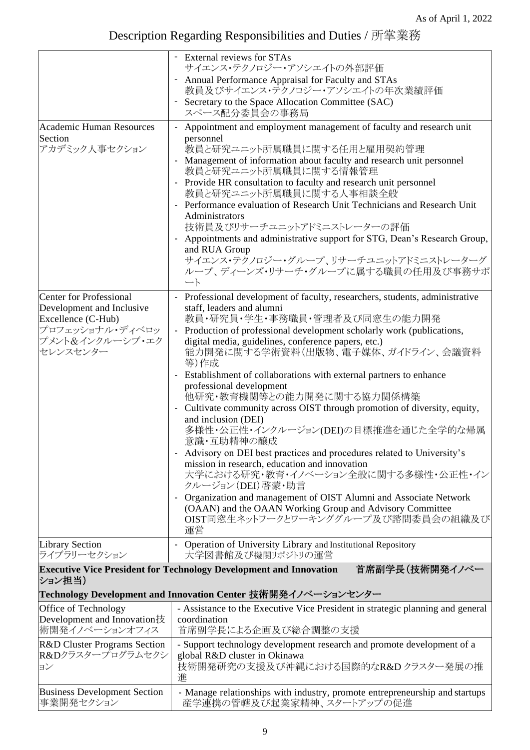|                                                                       | - External reviews for STAs                                                                                                             |  |
|-----------------------------------------------------------------------|-----------------------------------------------------------------------------------------------------------------------------------------|--|
|                                                                       | サイエンス・テクノロジー・アソシエイトの外部評価                                                                                                                |  |
|                                                                       | Annual Performance Appraisal for Faculty and STAs<br>教員及びサイエンス・テクノロジー・アソシエイトの年次業績評価                                                     |  |
|                                                                       | Secretary to the Space Allocation Committee (SAC)<br>スペース配分委員会の事務局                                                                      |  |
| <b>Academic Human Resources</b>                                       | Appointment and employment management of faculty and research unit                                                                      |  |
| Section<br>アカデミック人事セクション                                              | personnel<br>教員と研究ユニット所属職員に関する任用と雇用契約管理<br>Management of information about faculty and research unit personnel<br>教員と研究ユニット所属職員に関する情報管理 |  |
|                                                                       | - Provide HR consultation to faculty and research unit personnel<br>教員と研究ユニット所属職員に関する人事相談全般                                             |  |
|                                                                       | - Performance evaluation of Research Unit Technicians and Research Unit<br>Administrators                                               |  |
|                                                                       | 技術員及びリサーチユニットアドミニストレーターの評価<br>Appointments and administrative support for STG, Dean's Research Group,                                   |  |
|                                                                       | and RUA Group                                                                                                                           |  |
|                                                                       | サイエンス・テクノロジー・グループ、リサーチユニットアドミニストレーターグ<br>ループ、ディーンズ・リサーチ・グループに属する職員の任用及び事務サポ<br>$-\mathsf{h}$                                            |  |
| <b>Center for Professional</b>                                        | Professional development of faculty, researchers, students, administrative<br>$\blacksquare$                                            |  |
| Development and Inclusive<br>Excellence (C-Hub)                       | staff, leaders and alumni<br>教員・研究員・学生・事務職員・管理者及び同窓生の能力開発                                                                               |  |
| プロフェッショナル・ディベロッ                                                       | - Production of professional development scholarly work (publications,                                                                  |  |
| プメント&インクルーシブ・エク<br>セレンスセンター                                           | digital media, guidelines, conference papers, etc.)<br>能力開発に関する学術資料(出版物、電子媒体、ガイドライン、会議資料<br>等)作成                                        |  |
|                                                                       | Establishment of collaborations with external partners to enhance                                                                       |  |
|                                                                       | professional development<br>他研究・教育機関等との能力開発に関する協力関係構築                                                                                   |  |
|                                                                       | Cultivate community across OIST through promotion of diversity, equity,                                                                 |  |
|                                                                       | and inclusion (DEI)<br>多様性・公正性・インクルージョン(DEI)の目標推進を通じた全学的な帰属<br>意識・互助精神の醸成                                                               |  |
|                                                                       | Advisory on DEI best practices and procedures related to University's                                                                   |  |
|                                                                       | mission in research, education and innovation<br>大学における研究・教育・イノベーション全般に関する多様性・公正性・イン<br>クルージョン(DEI) 啓蒙・助言                               |  |
|                                                                       | Organization and management of OIST Alumni and Associate Network<br>(OAAN) and the OAAN Working Group and Advisory Committee            |  |
|                                                                       | OIST同窓生ネットワークとワーキンググループ及び諮問委員会の組織及び<br>運営                                                                                               |  |
| <b>Library Section</b><br>ライブラリーセクション                                 | - Operation of University Library and Institutional Repository<br>大学図書館及び機関リポジトリの運営                                                     |  |
| ション担当)                                                                | 首席副学長(技術開発イノベー<br><b>Executive Vice President for Technology Development and Innovation</b>                                             |  |
|                                                                       | Technology Development and Innovation Center 技術開発イノベーションセンター                                                                            |  |
| Office of Technology<br>Development and Innovation技<br>術開発イノベーションオフィス | - Assistance to the Executive Vice President in strategic planning and general<br>coordination<br>首席副学長による企画及び総合調整の支援                   |  |
| R&D Cluster Programs Section                                          | - Support technology development research and promote development of a                                                                  |  |
| R&Dクラスタープログラムセクシ<br>ヨン                                                | global R&D cluster in Okinawa<br>技術開発研究の支援及び沖縄における国際的なR&Dクラスター発展の推<br>進                                                                 |  |
| <b>Business Development Section</b><br>事業開発セクション                      | - Manage relationships with industry, promote entrepreneurship and startups<br>産学連携の管轄及び起業家精神、スタートアップの促進                                |  |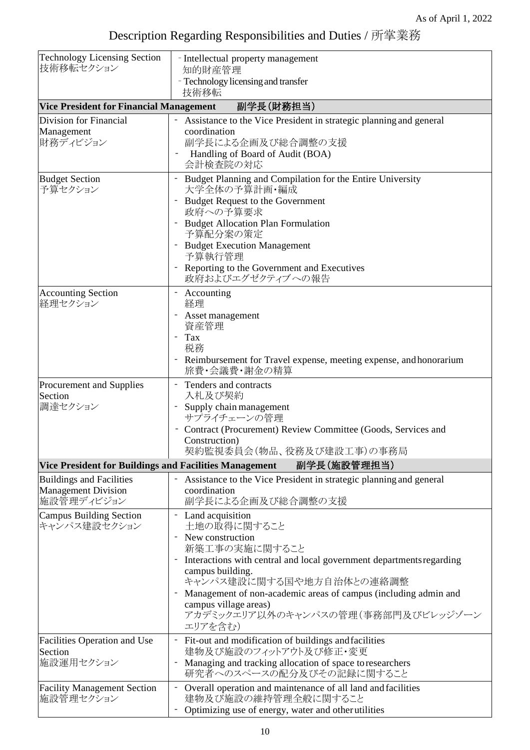| <b>Technology Licensing Section</b><br>技術移転セクション                            | - Intellectual property management<br>知的財産管理                                                                                                                                                                                                                                                                                                |
|-----------------------------------------------------------------------------|---------------------------------------------------------------------------------------------------------------------------------------------------------------------------------------------------------------------------------------------------------------------------------------------------------------------------------------------|
|                                                                             | - Technology licensing and transfer<br>技術移転                                                                                                                                                                                                                                                                                                 |
| <b>Vice President for Financial Management</b>                              | 副学長(財務担当)                                                                                                                                                                                                                                                                                                                                   |
| Division for Financial<br>Management<br>財務ディビジョン                            | - Assistance to the Vice President in strategic planning and general<br>coordination<br>副学長による企画及び総合調整の支援<br>Handling of Board of Audit (BOA)<br>会計検査院の対応                                                                                                                                                                                   |
| <b>Budget Section</b><br>予算セクション                                            | Budget Planning and Compilation for the Entire University<br>大学全体の予算計画・編成<br><b>Budget Request to the Government</b><br>政府への予算要求<br><b>Budget Allocation Plan Formulation</b><br>予算配分案の策定<br><b>Budget Execution Management</b><br>予算執行管理<br>Reporting to the Government and Executives<br>政府およびエグゼクティブへの報告                                 |
| <b>Accounting Section</b><br> 経理セクション                                       | Accounting<br>経理<br>Asset management<br>資産管理<br>- Tax<br>税務<br>Reimbursement for Travel expense, meeting expense, and honorarium<br>旅費・会議費・謝金の精算                                                                                                                                                                                            |
| Procurement and Supplies<br>Section<br>調達セクション                              | Tenders and contracts<br>入札及び契約<br>Supply chain management<br>サプライチェーンの管理<br>Contract (Procurement) Review Committee (Goods, Services and<br>Construction)<br>契約監視委員会(物品、役務及び建設工事)の事務局                                                                                                                                                      |
| Vice President for Buildings and Facilities Management                      | 副学長(施設管理担当)                                                                                                                                                                                                                                                                                                                                 |
| <b>Buildings and Facilities</b><br><b>Management Division</b><br>施設管理ディビジョン | Assistance to the Vice President in strategic planning and general<br>coordination<br>副学長による企画及び総合調整の支援                                                                                                                                                                                                                                     |
| <b>Campus Building Section</b><br>キャンパス建設セクション                              | - Land acquisition<br>土地の取得に関すること<br>New construction<br>新築工事の実施に関すること<br>Interactions with central and local government departments regarding<br>campus building.<br>キャンパス建設に関する国や地方自治体との連絡調整<br>Management of non-academic areas of campus (including admin and<br>campus village areas)<br>アカデミックエリア以外のキャンパスの管理(事務部門及びビレッジゾーン<br>エリアを含む) |
| Facilities Operation and Use<br>Section<br>施設運用セクション                        | Fit-out and modification of buildings and facilities<br>建物及び施設のフィットアウト及び修正・変更<br>Managing and tracking allocation of space to researchers<br>研究者へのスペースの配分及びその記録に関すること                                                                                                                                                                       |
| <b>Facility Management Section</b><br>施設管理セクション                             | Overall operation and maintenance of all land and facilities<br>建物及び施設の維持管理全般に関すること<br>Optimizing use of energy, water and other utilities                                                                                                                                                                                                  |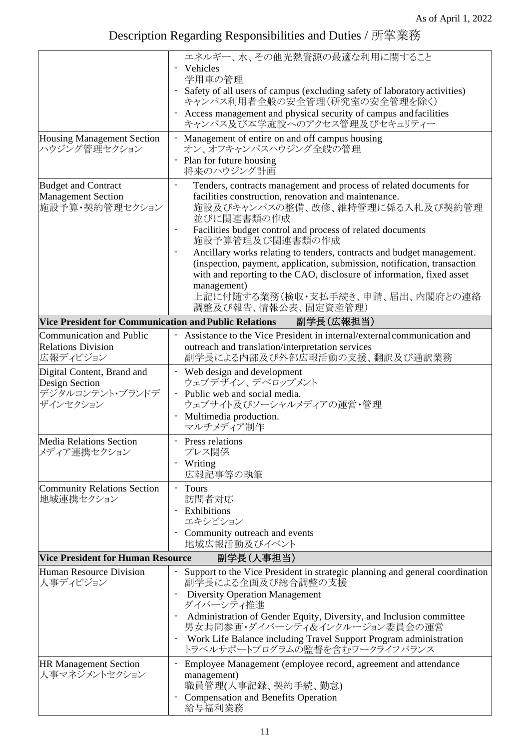|                                                              | エネルギー、水、その他光熱資源の最適な利用に関すること                                                                                                                       |  |
|--------------------------------------------------------------|---------------------------------------------------------------------------------------------------------------------------------------------------|--|
|                                                              | Vehicles                                                                                                                                          |  |
|                                                              | 学用車の管理                                                                                                                                            |  |
|                                                              | Safety of all users of campus (excluding safety of laboratory activities)<br>キャンパス利用者全般の安全管理(研究室の安全管理を除く)                                         |  |
|                                                              | Access management and physical security of campus and facilities<br>キャンパス及び本学施設へのアクセス管理及びセキュリティー                                                  |  |
| <b>Housing Management Section</b>                            | - Management of entire on and off campus housing                                                                                                  |  |
| ハウジング管理セクション                                                 | オン、オフキャンパスハウジング全般の管理<br>Plan for future housing                                                                                                   |  |
|                                                              | 将来のハウジング計画                                                                                                                                        |  |
| <b>Budget and Contract</b>                                   | $\qquad \qquad \blacksquare$<br>Tenders, contracts management and process of related documents for                                                |  |
| <b>Management Section</b>                                    | facilities construction, renovation and maintenance.                                                                                              |  |
| 施設予算・契約管理セクション                                               | 施設及びキャンパスの整備、改修、維持管理に係る入札及び契約管理<br>並びに関連書類の作成                                                                                                     |  |
|                                                              | Facilities budget control and process of related documents<br>施設予算管理及び関連書類の作成                                                                     |  |
|                                                              | Ancillary works relating to tenders, contracts and budget management.<br>$\overline{\phantom{0}}$                                                 |  |
|                                                              | (inspection, payment, application, submission, notification, transaction<br>with and reporting to the CAO, disclosure of information, fixed asset |  |
|                                                              | management)                                                                                                                                       |  |
|                                                              | 上記に付随する業務(検収・支払手続き、申請、届出、内閣府との連絡<br>調整及び報告、情報公表、固定資産管理)                                                                                           |  |
| <b>Vice President for Communication and Public Relations</b> | 副学長(広報担当)                                                                                                                                         |  |
| Communication and Public                                     | Assistance to the Vice President in internal/external communication and                                                                           |  |
| <b>Relations Division</b><br>広報ディビジョン                        | outreach and translation/interpretation services<br>副学長による内部及び外部広報活動の支援、翻訳及び通訳業務                                                                  |  |
| Digital Content, Brand and                                   | - Web design and development                                                                                                                      |  |
| Design Section                                               | ウェブデザイン、デベロップメント                                                                                                                                  |  |
| デジタルコンテント・ブランドデ<br>ザインセクション                                  | - Public web and social media.<br>ウェブサイト及びソーシャルメディアの運営・管理                                                                                         |  |
|                                                              | Multimedia production.<br>マルチメディア制作                                                                                                               |  |
| <b>Media Relations Section</b><br>メディア連携セクション                | - Press relations<br>プレス関係                                                                                                                        |  |
|                                                              | Writing                                                                                                                                           |  |
|                                                              | 広報記事等の執筆                                                                                                                                          |  |
| <b>Community Relations Section</b>                           | - Tours                                                                                                                                           |  |
| 地域連携セクション                                                    | 訪問者対応<br>Exhibitions                                                                                                                              |  |
|                                                              | エキシビション                                                                                                                                           |  |
|                                                              | Community outreach and events<br>地域広報活動及びイベント                                                                                                     |  |
| <b>Vice President for Human Resource</b><br>副学長(人事担当)        |                                                                                                                                                   |  |
| <b>Human Resource Division</b><br>人事ディビジョン                   | Support to the Vice President in strategic planning and general coordination<br>副学長による企画及び総合調整の支援                                                 |  |
|                                                              | <b>Diversity Operation Management</b><br>ダイバーシティ推進                                                                                                |  |
|                                                              | Administration of Gender Equity, Diversity, and Inclusion committee<br>男女共同参画・ダイバーシティ&インクルージョン委員会の運営                                              |  |
|                                                              | Work Life Balance including Travel Support Program administration<br>-<br>トラベルサポートプログラムの監督を含むワークライフバランス                                           |  |
| <b>HR Management Section</b>                                 | Employee Management (employee record, agreement and attendance<br>$\overline{a}$                                                                  |  |
| 人事マネジメントセクション                                                | management)<br>職員管理(人事記録、契約手続、勤怠)                                                                                                                 |  |
|                                                              | <b>Compensation and Benefits Operation</b><br>給与福利業務                                                                                              |  |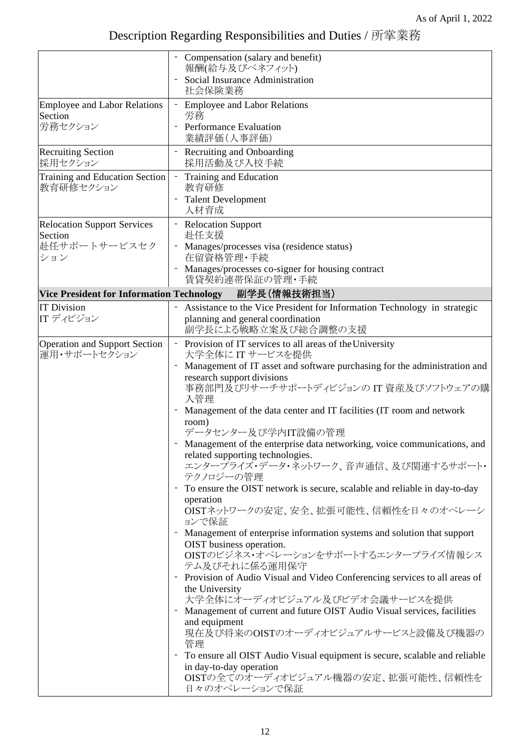|                                                      | Compensation (salary and benefit)<br>報酬(給与及びベネフィット)                                                                                                 |
|------------------------------------------------------|-----------------------------------------------------------------------------------------------------------------------------------------------------|
|                                                      | Social Insurance Administration<br>社会保険業務                                                                                                           |
| <b>Employee and Labor Relations</b><br>Section       | - Employee and Labor Relations<br>労務                                                                                                                |
| 労務セクション                                              | - Performance Evaluation<br>業績評価(人事評価)                                                                                                              |
| <b>Recruiting Section</b><br>採用セクション                 | <b>Recruiting and Onboarding</b><br>採用活動及び入校手続                                                                                                      |
| Training and Education Section<br>教育研修セクション          | Training and Education<br>教育研修                                                                                                                      |
|                                                      | <b>Talent Development</b><br>人材育成                                                                                                                   |
| <b>Relocation Support Services</b><br>Section        | - Relocation Support<br>赴任支援                                                                                                                        |
| 赴任サポートサービスセク<br>ション                                  | Manages/processes visa (residence status)<br>在留資格管理·手続                                                                                              |
|                                                      | Manages/processes co-signer for housing contract<br>賃貸契約連帯保証の管理・手続                                                                                  |
| <b>Vice President for Information Technology</b>     | 副学長(情報技術担当)                                                                                                                                         |
| <b>IT Division</b>                                   | Assistance to the Vice President for Information Technology in strategic                                                                            |
| ITディビジョン                                             | planning and general coordination<br>副学長による戦略立案及び総合調整の支援                                                                                            |
| <b>Operation and Support Section</b><br>運用・サポートセクション | - Provision of IT services to all areas of the University<br>大学全体に IT サービスを提供                                                                       |
|                                                      | Management of IT asset and software purchasing for the administration and                                                                           |
|                                                      | research support divisions<br>事務部門及びリサーチサポートディビジョンの IT 資産及びソフトウェアの購<br>入管理                                                                          |
|                                                      | Management of the data center and IT facilities (IT room and network<br>room)                                                                       |
|                                                      | データセンター及び学内IT設備の管理                                                                                                                                  |
|                                                      | Management of the enterprise data networking, voice communications, and<br>related supporting technologies.<br>エンタープライズ・データ・ネットワーク、音声通信、及び関連するサポート・ |
|                                                      | テクノロジーの管理                                                                                                                                           |
|                                                      | To ensure the OIST network is secure, scalable and reliable in day-to-day<br>operation                                                              |
|                                                      | OISTネットワークの安定、安全、拡張可能性、信頼性を日々のオペレーシ<br>ョンで保証                                                                                                        |
|                                                      | Management of enterprise information systems and solution that support<br>OIST business operation.                                                  |
|                                                      | OISTのビジネス・オペレーションをサポートするエンタープライズ情報シス<br>テム及びそれに係る運用保守                                                                                               |
|                                                      | Provision of Audio Visual and Video Conferencing services to all areas of<br>the University                                                         |
|                                                      | 大学全体にオーディオビジュアル及びビデオ会議サービスを提供<br>Management of current and future OIST Audio Visual services, facilities                                            |
|                                                      | and equipment<br>現在及び将来のOISTのオーディオビジュアルサービスと設備及び機器の<br>管理                                                                                           |
|                                                      | To ensure all OIST Audio Visual equipment is secure, scalable and reliable                                                                          |
|                                                      | in day-to-day operation<br>OISTの全てのオーディオビジュアル機器の安定、拡張可能性、信頼性を<br>日々のオペレーションで保証                                                                      |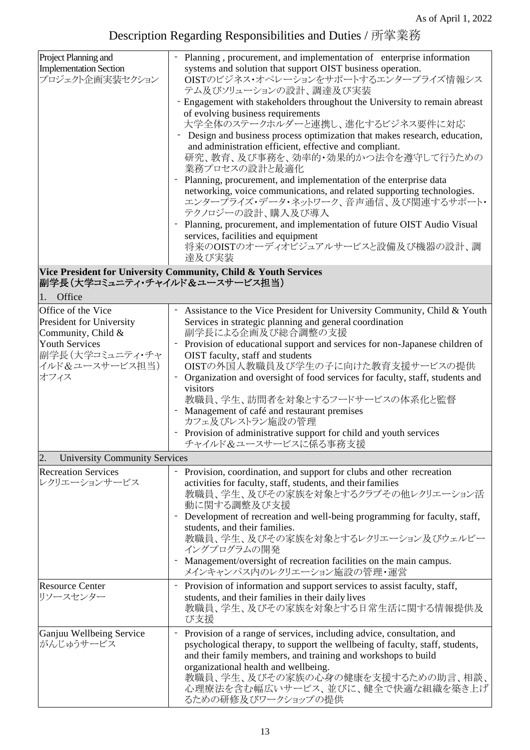| Project Planning and<br>- Planning, procurement, and implementation of enterprise information<br>systems and solution that support OIST business operation.<br><b>Implementation Section</b><br>プロジェクト企画実装セクション<br>テム及びソリューションの設計、調達及び実装                                                                                                                                                     |                                                                                                                                                                                                                                                                               |
|----------------------------------------------------------------------------------------------------------------------------------------------------------------------------------------------------------------------------------------------------------------------------------------------------------------------------------------------------------------------------------------------|-------------------------------------------------------------------------------------------------------------------------------------------------------------------------------------------------------------------------------------------------------------------------------|
| of evolving business requirements<br>大学全体のステークホルダーと連携し、進化するビジネス要件に対応<br>and administration efficient, effective and compliant.<br>業務プロセスの設計と最適化<br>- Planning, procurement, and implementation of the enterprise data<br>networking, voice communications, and related supporting technologies.<br>テクノロジーの設計、購入及び導入<br>Planning, procurement, and implementation of future OIST Audio Visual | OISTのビジネス・オペレーションをサポートするエンタープライズ情報シス<br>- Engagement with stakeholders throughout the University to remain abreast<br>- Design and business process optimization that makes research, education,<br>研究、教育、及び事務を、効率的・効果的かつ法令を遵守して行うための<br>エンタープライズ・データ・ネットワーク、音声通信、及び関連するサポート・ |
| services, facilities and equipment<br>将来のOISTのオーディオビジュアルサービスと設備及び機器の設計、調<br>達及び実装                                                                                                                                                                                                                                                                                                            |                                                                                                                                                                                                                                                                               |

### **Vice President for University Community, Child & Youth Services** 副学長(大学コミュニティ・チャイルド&ユースサービス担当)

1. Office

| Office of the Vice<br>President for University<br>Community, Child &<br><b>Youth Services</b><br>副学長(大学コミュニティ・チャ<br>イルド&ユースサービス担当)<br>オフィス | Assistance to the Vice President for University Community, Child & Youth<br>Services in strategic planning and general coordination<br>副学長による企画及び総合調整の支援<br>Provision of educational support and services for non-Japanese children of<br>OIST faculty, staff and students<br>OISTの外国人教職員及び学生の子に向けた教育支援サービスの提供<br>Organization and oversight of food services for faculty, staff, students and<br>visitors<br>教職員、学生、訪問者を対象とするフードサービスの体系化と監督<br>- Management of café and restaurant premises<br>カフェ及びレストラン施設の管理<br>- Provision of administrative support for child and youth services<br>チャイルド&ユースサービスに係る事務支援 |  |  |
|--------------------------------------------------------------------------------------------------------------------------------------------|---------------------------------------------------------------------------------------------------------------------------------------------------------------------------------------------------------------------------------------------------------------------------------------------------------------------------------------------------------------------------------------------------------------------------------------------------------------------------------------------------------------------------------------------------------------------------------------------------------------|--|--|
| <b>University Community Services</b><br>2.                                                                                                 |                                                                                                                                                                                                                                                                                                                                                                                                                                                                                                                                                                                                               |  |  |
| <b>Recreation Services</b><br>レクリエーションサービス                                                                                                 | Provision, coordination, and support for clubs and other recreation<br>activities for faculty, staff, students, and their families<br>教職員、学生、及びその家族を対象とするクラブその他レクリエーション活<br>動に関する調整及び支援<br>Development of recreation and well-being programming for faculty, staff,<br>students, and their families.<br>教職員、学生、及びその家族を対象とするレクリエーション及びウェルビー<br>イングプログラムの開発<br>- Management/oversight of recreation facilities on the main campus.<br>メインキャンパス内のレクリエーション施設の管理・運営                                                                                                                                                |  |  |
| <b>Resource Center</b><br>リソースセンター                                                                                                         | Provision of information and support services to assist faculty, staff,<br>$\overline{\phantom{a}}$<br>students, and their families in their daily lives<br>教職員、学生、及びその家族を対象とする日常生活に関する情報提供及<br>び支援                                                                                                                                                                                                                                                                                                                                                                                                           |  |  |
| Ganjuu Wellbeing Service<br>がんじゅうサービス                                                                                                      | Provision of a range of services, including advice, consultation, and<br>psychological therapy, to support the wellbeing of faculty, staff, students,<br>and their family members, and training and workshops to build<br>organizational health and wellbeing.<br>教職員、学生、及びその家族の心身の健康を支援するための助言、相談、<br>心理療法を含む幅広いサービス、並びに、健全で快適な組織を築き上げ<br>るための研修及びワークショップの提供                                                                                                                                                                                                                                                 |  |  |